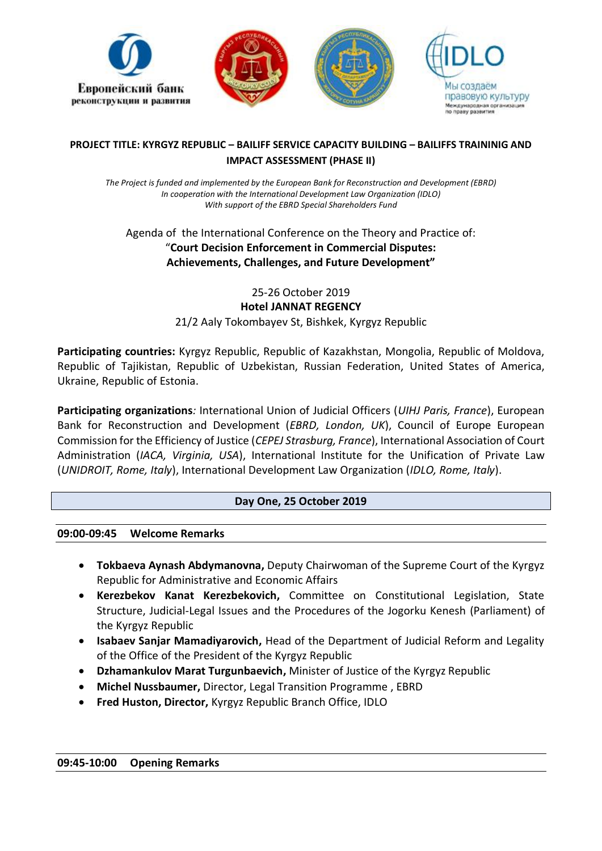

# **PROJECT TITLE: KYRGYZ REPUBLIC – BAILIFF SERVICE CAPACITY BUILDING – BAILIFFS TRAININIG AND IMPACT ASSESSMENT (PHASE II)**

*The Project is funded and implemented by the European Bank for Reconstruction and Development (EBRD) In cooperation with the International Development Law Organization (IDLO) With support of the EBRD Special Shareholders Fund* 

# Agenda of the International Conference on the Theory and Practice of: "**Court Decision Enforcement in Commercial Disputes: Achievements, Challenges, and Future Development"**

25-26 October 2019 **Hotel JANNAT REGENCY** 21/2 Aaly Tokombayev St, Bishkek, Kyrgyz Republic

**Participating countries:** Kyrgyz Republic, Republic of Kazakhstan, Mongolia, Republic of Moldova, Republic of Tajikistan, Republic of Uzbekistan, Russian Federation, United States of America, Ukraine, Republic of Estonia.

**Participating organizations***:* International Union of Judicial Officers (*UIHJ Paris, France*), European Bank for Reconstruction and Development (*EBRD, London, UK*), Council of Europe European Commission for the Efficiency of Justice (*CEPEJ Strasburg, France*), International Association of Court Administration (*IACA, Virginia, USA*), International Institute for the Unification of Private Law (*UNIDROIT, Rome, Italy*), International Development Law Organization (*IDLO, Rome, Italy*).

# **Day One, 25 October 2019**

# **09:00-09:45 Welcome Remarks**

- **Tokbaeva Aynash Abdymanovna,** Deputy Chairwoman of the Supreme Court of the Kyrgyz Republic for Administrative and Economic Affairs
- **Kerezbekov Kanat Kerezbekovich,** Committee on Constitutional Legislation, State Structure, Judicial-Legal Issues and the Procedures of the Jogorku Kenesh (Parliament) of the Kyrgyz Republic
- **Isabaev Sanjar Mamadiyarovich,** Head of the Department of Judicial Reform and Legality of the Office of the President of the Kyrgyz Republic
- **Dzhamankulov Marat Turgunbaevich,** Minister of Justice of the Kyrgyz Republic
- **Michel Nussbaumer,** Director, Legal Transition Programme , EBRD
- **Fred Huston, Director,** Kyrgyz Republic Branch Office, IDLO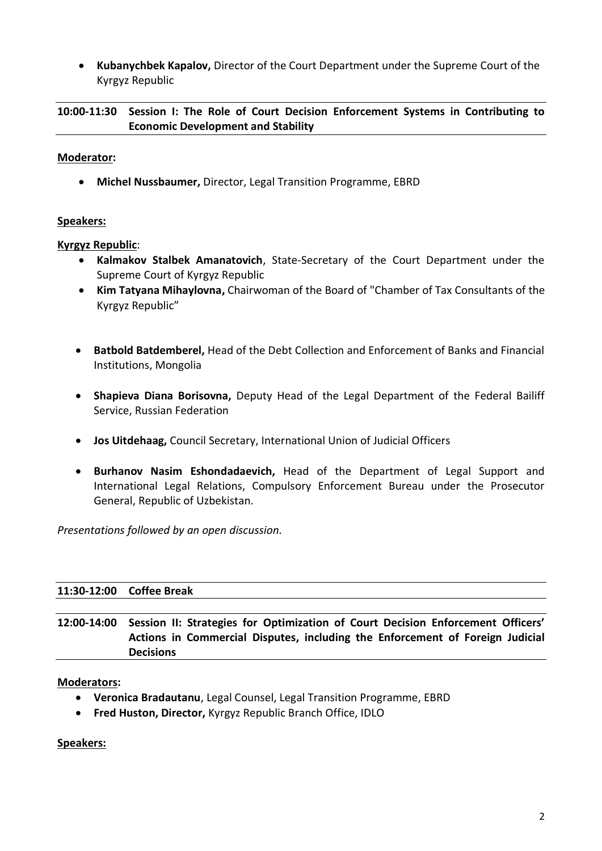• **Kubanychbek Kapalov,** Director of the Court Department under the Supreme Court of the Kyrgyz Republic

**10:00-11:30 Session I: The Role of Court Decision Enforcement Systems in Contributing to Economic Development and Stability**

### **Moderator:**

• **Michel Nussbaumer,** Director, Legal Transition Programme, EBRD

### **Speakers:**

### **Kyrgyz Republic**:

- **Kalmakov Stalbek Amanatovich**, State-Secretary of the Court Department under the Supreme Court of Kyrgyz Republic
- **Kim Tatyana Mihaylovna,** Chairwoman of the Board of "Chamber of Tax Consultants of the Kyrgyz Republic"
- **Batbold Batdemberel,** Head of the Debt Collection and Enforcement of Banks and Financial Institutions, Mongolia
- **Shapieva Diana Borisovna,** Deputy Head of the Legal Department of the Federal Bailiff Service, Russian Federation
- **Jos Uitdehaag,** Council Secretary, International Union of Judicial Officers
- **Burhanov Nasim Eshondadaevich,** Head of the Department of Legal Support and International Legal Relations, Compulsory Enforcement Bureau under the Prosecutor General, Republic of Uzbekistan.

*Presentations followed by an open discussion.*

### **11:30-12:00 Coffee Break**

**12:00-14:00 Session II: Strategies for Optimization of Court Decision Enforcement Officers' Actions in Commercial Disputes, including the Enforcement of Foreign Judicial Decisions**

### **Moderators:**

- **Veronica Bradautanu**, Legal Counsel, Legal Transition Programme, EBRD
- **Fred Huston, Director,** Kyrgyz Republic Branch Office, IDLO

**Speakers:**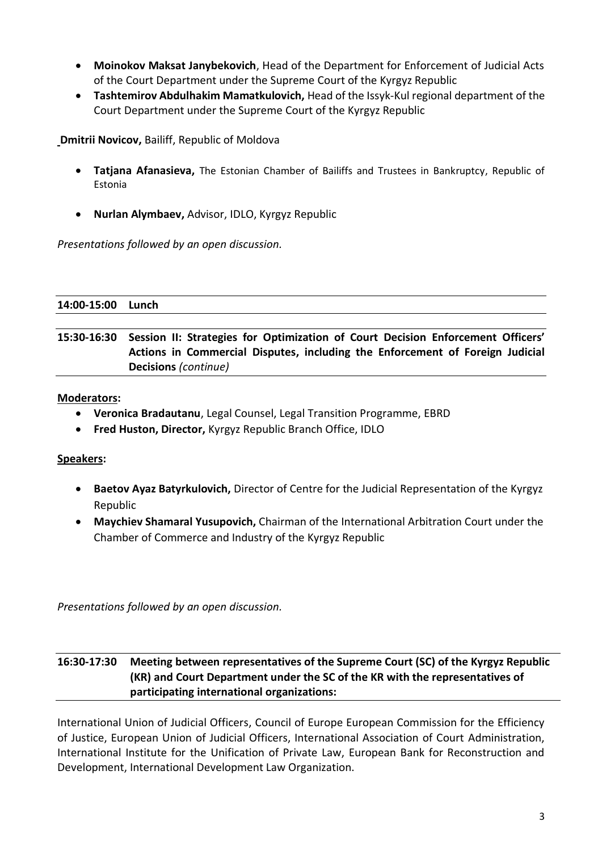- **Moinokov Maksat Janybekovich**, Head of the Department for Enforcement of Judicial Acts of the Court Department under the Supreme Court of the Kyrgyz Republic
- **Tashtemirov Abdulhakim Mamatkulovich,** Head of the Issyk-Kul regional department of the Court Department under the Supreme Court of the Kyrgyz Republic

**Dmitrii Novicov,** Bailiff, Republic of Moldova

- **Tatjana Afanasieva,** The Estonian Chamber of Bailiffs and Trustees in Bankruptcy, Republic of Estonia
- **Nurlan Alymbaev,** Advisor, IDLO, Kyrgyz Republic

*Presentations followed by an open discussion.*

**14:00-15:00 Lunch**

**15:30-16:30 Session II: Strategies for Optimization of Court Decision Enforcement Officers' Actions in Commercial Disputes, including the Enforcement of Foreign Judicial Decisions** *(continue)*

### **Moderators:**

- **Veronica Bradautanu**, Legal Counsel, Legal Transition Programme, EBRD
- **Fred Huston, Director,** Kyrgyz Republic Branch Office, IDLO

# **Speakers:**

- **Baetov Ayaz Batyrkulovich,** Director of Centre for the Judicial Representation of the Kyrgyz Republic
- **Maychiev Shamaral Yusupovich,** Chairman of the International Arbitration Court under the Chamber of Commerce and Industry of the Kyrgyz Republic

*Presentations followed by an open discussion.*

# **16:30-17:30 Meeting between representatives of the Supreme Court (SC) of the Kyrgyz Republic (KR) and Court Department under the SC of the KR with the representatives of participating international organizations:**

International Union of Judicial Officers, Council of Europe European Commission for the Efficiency of Justice, European Union of Judicial Officers, International Association of Court Administration, International Institute for the Unification of Private Law, European Bank for Reconstruction and Development, International Development Law Organization.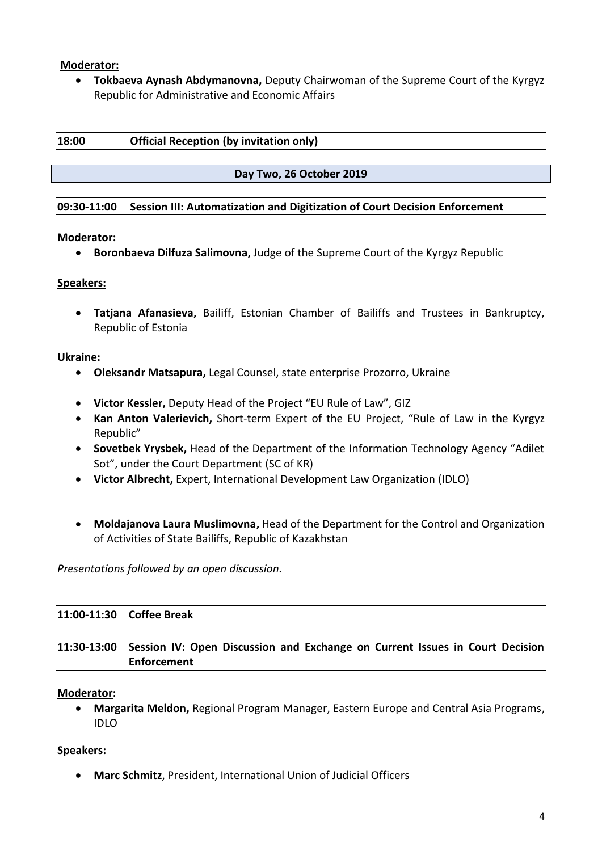### **Moderator:**

• **Tokbaeva Aynash Abdymanovna,** Deputy Chairwoman of the Supreme Court of the Kyrgyz Republic for Administrative and Economic Affairs

| 18:00 | <b>Official Reception (by invitation only)</b> |
|-------|------------------------------------------------|
|       |                                                |

**Day Two, 26 October 2019**

#### **09:30-11:00 Session III: Automatization and Digitization of Court Decision Enforcement**

### **Moderator:**

• **Boronbaeva Dilfuza Salimovna,** Judge of the Supreme Court of the Kyrgyz Republic

### **Speakers:**

• **Tatjana Afanasieva,** Bailiff, Estonian Chamber of Bailiffs and Trustees in Bankruptcy, Republic of Estonia

#### **Ukraine:**

- **Oleksandr Matsapura,** Legal Counsel, state enterprise Prozorro, Ukraine
- **Victor Kessler,** Deputy Head of the Project "EU Rule of Law", GIZ
- **Kan Anton Valerievich,** Short-term Expert of the EU Project, "Rule of Law in the Kyrgyz Republic"
- **Sovetbek Yrysbek,** Head of the Department of the Information Technology Agency "Adilet Sot", under the Court Department (SC of KR)
- **Victor Albrecht,** Expert, International Development Law Organization (IDLO)
- **Moldajanova Laura Muslimovna,** Head of the Department for the Control and Organization of Activities of State Bailiffs, Republic of Kazakhstan

*Presentations followed by an open discussion.*

### **11:00-11:30 Coffee Break**

# **11:30-13:00 Session IV: Open Discussion and Exchange on Current Issues in Court Decision Enforcement**

### **Moderator:**

• **Margarita Meldon,** Regional Program Manager, Eastern Europe and Central Asia Programs, IDLO

### **Speakers:**

• **Marc Schmitz**, President, International Union of Judicial Officers